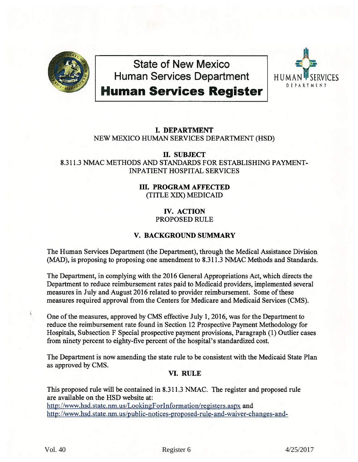

**State of New Mexico Human Services Department** 



# **Human Services Register FOR DEPARTMENT**

## I. DEPARTMENT NEW MEXICO HUMAN SERVICES DEPARTMENT (HSD)

II. SUBJECT 8.311.3 NMAC METHODS AND STANDARDS FOR ESTABLISHING PAYMENT-INPATIENT HOSPITAL SERVICES

### III. PROGRAM AFFECTED (TITLE XIX) MEDICAID

### IV. ACTION PROPOSED RULE

## **V. BACKGROUND SUMMARY**

The Human Services Department (the Department), through the Medical Assistance Division (MAD), is proposing to proposing one amendment to 8.311.3 NMAC Methods and Standards.

The Department, in complying with the 2016 General Appropriations Act, which directs the Department to reduce reimbursement rates paid to Medicaid providers, implemented several measures in July and August 2016 related to provider reimbursement. Some of these measures required approval from the Centers for Medicare and Medicaid Services (CMS).

One of the measures, approved by CMS effective July 1, 2016, was for the Department to reduce the reimbursement rate found in Section 12 Prospective Payment Methodology for Hospitals, Subsection F Special prospective payment provisions, Paragraph (1) Outlier cases from ninety percent to eighty-five percent of the hospital's standardized cost.

The Department is now amending the state rule to be consistent with the Medicaid State Plan as approved by CMS.

## VI. RULE

This proposed rule will be contained in 8.311.3 NMAC. The register and proposed rule are available on the HSD website at:

http://www.hsd.state.nm.us/LookingForInformation/registers.aspx and [http ://www.hsd.state.nm. us/public-notices-proposed-rule-and-waiver-changes-and-](http://www.hsd.state.nm.us/public-notices-proposed-rule-and-waiver-changes-and-opportunities-to-comment.aspx)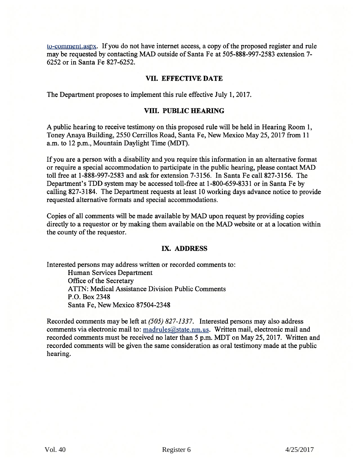[to-comment.aspx](http://www.hsd.state.nm.us/public-notices-proposed-rule-and-waiver-changes-and-opportunities-to-comment.aspx). If you do not have internet access, a copy of the proposed register and rule may be requested by contacting MAD outside of Santa Fe at 505-888-997-2583 extension 7- 6252 or in Santa Fe 827-6252.

#### **VII. EFFECTIVE DATE**

The Department proposes to implement this rule effective July 1, 2017.

#### **VIII. PUBLIC HEARING**

A public hearing to receive testimony on this proposed rule will be held in Hearing Room 1, Toney Anaya Building, 2550 Cerrillos Road, Santa Fe, New Mexico May 25, 2017 from 11 a.m. to 12 p.m., Mountain Daylight Time (MDT).

If you are a person with a disability and you require this information in an alternative format or require a special accommodation to participate in the public hearing, please contact MAD toll free at 1-888-997-2583 and ask for extension 7-3156. In Santa Fe call 827-3156. The Department's TDD system may be accessed toll-free at 1-800-659-8331 or in Santa Fe by calling 827-3184. The Department requests at least 10 working days advance notice to provide requested alternative formats and special accommodations.

Copies of all comments will be made available by MAD upon request by providing copies directly to a requestor or by making them available on the MAD website or at a location within the county of the requestor.

#### IX. **ADDRESS**

Interested persons may address written or recorded comments to:

Human Services Department Office of the Secretary ATTN: Medical Assistance Division Public Comments P.O. Box 2348 Santa Fe, New Mexico 87504-2348

Recorded comments may be left at *(505) 827-1337.* Interested persons may also address comments via electronic mail to: madrules@state.nm.us. Written mail, electronic mail and recorded comments must be received no later than 5 p.m. MDT on May 25,2017. Written and recorded comments will be given the same consideration as oral testimony made at the public hearing.